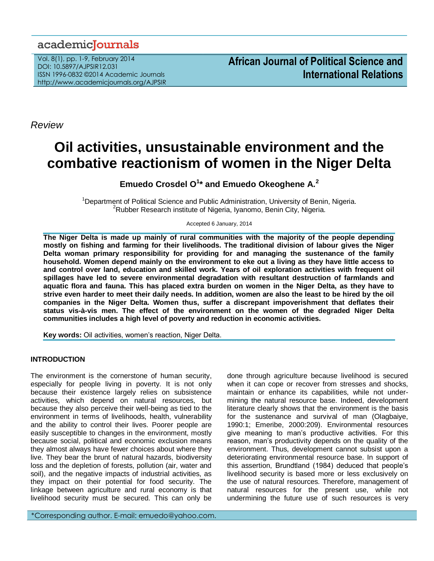# academicJournals

Vol. 8(1), pp. 1-9, February 2014 DOI: 10.5897/AJPSIR12.031 ISSN 1996-0832 ©2014 Academic Journals http://www.academicjournals.org/AJPSIR

*Review*

# **Oil activities, unsustainable environment and the combative reactionism of women in the Niger Delta**

**Emuedo Crosdel O<sup>1</sup> \* and Emuedo Okeoghene A.<sup>2</sup>**

<sup>1</sup>Department of Political Science and Public Administration, University of Benin, Nigeria. <sup>2</sup>Rubber Research institute of Nigeria, Iyanomo, Benin City, Nigeria.

Accepted 6 January, 2014

**The Niger Delta is made up mainly of rural communities with the majority of the people depending mostly on fishing and farming for their livelihoods. The traditional division of labour gives the Niger Delta woman primary responsibility for providing for and managing the sustenance of the family household. Women depend mainly on the environment to eke out a living as they have little access to and control over land, education and skilled work. Years of oil exploration activities with frequent oil spillages have led to severe environmental degradation with resultant destruction of farmlands and aquatic flora and fauna. This has placed extra burden on women in the Niger Delta, as they have to strive even harder to meet their daily needs. In addition, women are also the least to be hired by the oil companies in the Niger Delta. Women thus, suffer a discrepant impoverishment that deflates their status vis-à-vis men. The effect of the environment on the women of the degraded Niger Delta communities includes a high level of poverty and reduction in economic activities.** 

**Key words:** Oil activities, women's reaction, Niger Delta.

### **INTRODUCTION**

The environment is the cornerstone of human security, especially for people living in poverty. It is not only because their existence largely relies on subsistence activities, which depend on natural resources, but because they also perceive their well-being as tied to the environment in terms of livelihoods, health, vulnerability and the ability to control their lives. Poorer people are easily susceptible to changes in the environment, mostly because social, political and economic exclusion means they almost always have fewer choices about where they live. They bear the brunt of natural hazards, biodiversity loss and the depletion of forests, pollution (air, water and soil), and the negative impacts of industrial activities, as they impact on their potential for food security. The linkage between agriculture and rural economy is that livelihood security must be secured. This can only be

\*Corresponding author. E-mail: emuedo@yahoo.com.

done through agriculture because livelihood is secured when it can cope or recover from stresses and shocks, maintain or enhance its capabilities, while not undermining the natural resource base. Indeed, development literature clearly shows that the environment is the basis for the sustenance and survival of man (Olagbaiye, 1990:1; Emeribe, 2000:209). Environmental resources give meaning to man's productive activities. For this reason, man's productivity depends on the quality of the environment. Thus, development cannot subsist upon a deteriorating environmental resource base. In support of this assertion, Brundtland (1984) deduced that people's livelihood security is based more or less exclusively on the use of natural resources. Therefore, management of natural resources for the present use, while not undermining the future use of such resources is very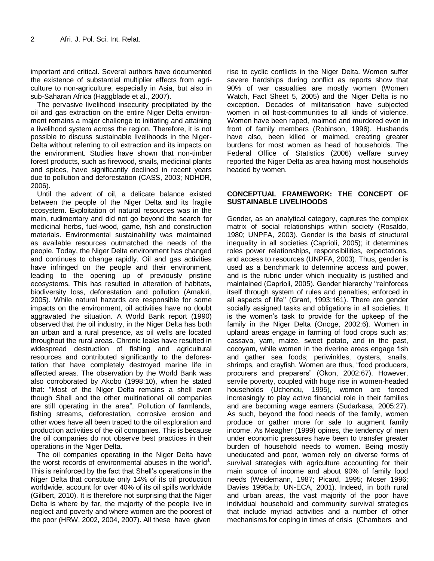important and critical. Several authors have documented the existence of substantial multiplier effects from agriculture to non-agriculture, especially in Asia, but also in sub-Saharan Africa (Haggblade et al., 2007).

The pervasive livelihood insecurity precipitated by the oil and gas extraction on the entire Niger Delta environment remains a major challenge to initiating and attaining a livelihood system across the region. Therefore, it is not possible to discuss sustainable livelihoods in the Niger-Delta without referring to oil extraction and its impacts on the environment. Studies have shown that non-timber forest products, such as firewood, snails, medicinal plants and spices, have significantly declined in recent years due to pollution and deforestation (CASS, 2003; NDHDR, 2006).

Until the advent of oil, a delicate balance existed between the people of the Niger Delta and its fragile ecosystem. Exploitation of natural resources was in the main, rudimentary and did not go beyond the search for medicinal herbs, fuel-wood, game, fish and construction materials. Environmental sustainability was maintained as available resources outmatched the needs of the people. Today, the Niger Delta environment has changed and continues to change rapidly. Oil and gas activities have infringed on the people and their environment, leading to the opening up of previously pristine ecosystems. This has resulted in alteration of habitats, biodiversity loss, deforestation and pollution (Amakiri, 2005). While natural hazards are responsible for some impacts on the environment, oil activities have no doubt aggravated the situation. A World Bank report (1990) observed that the oil industry, in the Niger Delta has both an urban and a rural presence, as oil wells are located throughout the rural areas. Chronic leaks have resulted in widespread destruction of fishing and agricultural resources and contributed significantly to the deforestation that have completely destroyed marine life in affected areas. The observation by the World Bank was also corroborated by Akobo (1998:10), when he stated that: "Most of the Niger Delta remains a shell even though Shell and the other multinational oil companies are still operating in the area". Pollution of farmlands, fishing streams, deforestation, corrosive erosion and other woes have all been traced to the oil exploration and production activities of the oil companies. This is because the oil companies do not observe best practices in their operations in the Niger Delta.

The oil companies operating in the Niger Delta have the worst records of environmental abuses in the world<sup>1</sup>. This is reinforced by the fact that Shell's operations in the Niger Delta that constitute only 14% of its oil production worldwide, account for over 40% of its oil spills worldwide (Gilbert, 2010). It is therefore not surprising that the Niger Delta is where by far, the majority of the people live in neglect and poverty and where women are the poorest of the poor (HRW, 2002, 2004, 2007). All these have given rise to cyclic conflicts in the Niger Delta. Women suffer severe hardships during conflict as reports show that 90% of war casualties are mostly women (Women Watch, Fact Sheet 5, 2005) and the Niger Delta is no exception. Decades of militarisation have subjected women in oil host-communities to all kinds of violence. Women have been raped, maimed and murdered even in front of family members (Robinson, 1996). Husbands have also, been killed or maimed, creating greater burdens for most women as head of households. The Federal Office of Statistics (2006) welfare survey reported the Niger Delta as area having most households headed by women.

#### **CONCEPTUAL FRAMEWORK: THE CONCEPT OF SUSTAINABLE LIVELIHOODS**

Gender, as an analytical category, captures the complex matrix of social relationships within society (Rosaldo, 1980; UNPFA, 2003). Gender is the basis of structural inequality in all societies (Caprioli, 2005); it determines roles power relationships, responsibilities, expectations, and access to resources (UNPFA, 2003). Thus, gender is used as a benchmark to determine access and power, and is the rubric under which inequality is justified and maintained (Caprioli, 2005). Gender hierarchy "reinforces itself through system of rules and penalties; enforced in all aspects of life'' (Grant, 1993:161). There are gender socially assigned tasks and obligations in all societies. It is the women's task to provide for the upkeep of the family in the Niger Delta (Onoge, 2002:6). Women in upland areas engage in farming of food crops such as; cassava, yam, maize, sweet potato, and in the past, cocoyam, while women in the riverine areas engage fish and gather sea foods; periwinkles, oysters, snails, shrimps, and crayfish. Women are thus, "food producers, procurers and preparers" (Okon, 2002:67). However, servile poverty, coupled with huge rise in women-headed households (Uchendu, 1995), women are forced increasingly to play active financial role in their families and are becoming wage earners (Sudarkasa, 2005:27). As such, beyond the food needs of the family, women produce or gather more for sale to augment family income. As Meagher (1999) opines, the tendency of men under economic pressures have been to transfer greater burden of household needs to women. Being mostly uneducated and poor, women rely on diverse forms of survival strategies with agriculture accounting for their main source of income and about 90% of family food needs (Weidemann, 1987; Picard, 1995; Moser 1996; Davies 1996a,b; UN-ECA, 2001). Indeed, in both rural and urban areas, the vast majority of the poor have individual household and community survival strategies that include myriad activities and a number of other mechanisms for coping in times of crisis (Chambers and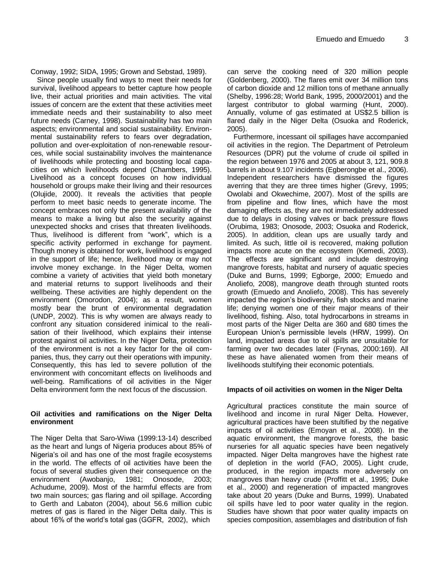Conway, 1992; SIDA, 1995; Grown and Sebstad, 1989).

Since people usually find ways to meet their needs for survival, livelihood appears to better capture how people live, their actual priorities and main activities. The vital issues of concern are the extent that these activities meet immediate needs and their sustainability to also meet future needs (Carney, 1998). Sustainability has two main aspects; environmental and social sustainability. Environmental sustainability refers to fears over degradation, pollution and over-exploitation of non-renewable resources, while social sustainability involves the maintenance of livelihoods while protecting and boosting local capacities on which livelihoods depend (Chambers, 1995). Livelihood as a concept focuses on how individual household or groups make their living and their resources (Olujide, 2000). It reveals the activities that people perform to meet basic needs to generate income. The concept embraces not only the present availability of the means to make a living but also the security against unexpected shocks and crises that threaten livelihoods. Thus, livelihood is different from "work", which is a specific activity performed in exchange for payment. Though money is obtained for work, livelihood is engaged in the support of life; hence, livelihood may or may not involve money exchange. In the Niger Delta, women combine a variety of activities that yield both monetary and material returns to support livelihoods and their wellbeing. These activities are highly dependent on the environment (Omorodon, 2004); as a result, women mostly bear the brunt of environmental degradation (UNDP, 2002). This is why women are always ready to confront any situation considered inimical to the realisation of their livelihood, which explains their intense protest against oil activities. In the Niger Delta, protection of the environment is not a key factor for the oil companies, thus, they carry out their operations with impunity. Consequently, this has led to severe pollution of the environment with concomitant effects on livelihoods and well-being. Ramifications of oil activities in the Niger Delta environment form the next focus of the discussion.

### **Oil activities and ramifications on the Niger Delta environment**

The Niger Delta that Saro-Wiwa (1999:13-14) described as the heart and lungs of Nigeria produces about 85% of Nigeria's oil and has one of the most fragile ecosystems in the world. The effects of oil activities have been the focus of several studies given their consequence on the environment (Awobanjo, 1981; Onosode, 2003; Achudume, 2009). Most of the harmful effects are from two main sources; gas flaring and oil spillage. According to Gerth and Labaton (2004), about 56.6 million cubic metres of gas is flared in the Niger Delta daily. This is about 16% of the world's total gas (GGFR, 2002), which

can serve the cooking need of 320 million people (Goldenberg, 2000). The flares emit over 34 million tons of carbon dioxide and 12 million tons of methane annually (Shelby, 1996:28; World Bank, 1995, 2000/2001) and the largest contributor to global warming (Hunt, 2000). Annually, volume of gas estimated at US\$2.5 billion is flared daily in the Niger Delta (Osuoka and Roderick, 2005).

Furthermore, incessant oil spillages have accompanied oil activities in the region. The Department of Petroleum Resources (DPR) put the volume of crude oil spilled in the region between 1976 and 2005 at about 3, 121, 909.8 barrels in about 9.107 incidents (Egberongbe et al., 2006). Independent researchers have dismissed the figures averring that they are three times higher (Grevy, 1995; Owolabi and Okwechime, 2007). Most of the spills are from pipeline and flow lines, which have the most damaging effects as, they are not immediately addressed due to delays in closing valves or back pressure flows (Orubima, 1983; Onosode, 2003; Osuoka and Roderick, 2005). In addition, clean ups are usually tardy and limited. As such, little oil is recovered, making pollution impacts more acute on the ecosystem (Kemedi, 2003). The effects are significant and include destroying mangrove forests, habitat and nursery of aquatic species (Duke and Burns, 1999; Egborge, 2000; Emuedo and Anoliefo, 2008), mangrove death through stunted roots growth (Emuedo and Anoliefo, 2008). This has severely impacted the region's biodiversity, fish stocks and marine life; denying women one of their major means of their livelihood, fishing. Also, total hydrocarbons in streams in most parts of the Niger Delta are 360 and 680 times the European Union's permissible levels (HRW, 1999). On land, impacted areas due to oil spills are unsuitable for farming over two decades later (Frynas, 2000:169). All these as have alienated women from their means of livelihoods stultifying their economic potentials.

### **Impacts of oil activities on women in the Niger Delta**

Agricultural practices constitute the main source of livelihood and income in rural Niger Delta. However, agricultural practices have been stultified by the negative impacts of oil activities (Emoyan et al., 2008). In the aquatic environment, the mangrove forests, the basic nurseries for all aquatic species have been negatively impacted. Niger Delta mangroves have the highest rate of depletion in the world (FAO, 2005). Light crude, produced, in the region impacts more adversely on mangroves than heavy crude (Proffitt et al., 1995; Duke et al., 2000) and regeneration of impacted mangroves take about 20 years (Duke and Burns, 1999). Unabated oil spills have led to poor water quality in the region. Studies have shown that poor water quality impacts on species composition, assemblages and distribution of fish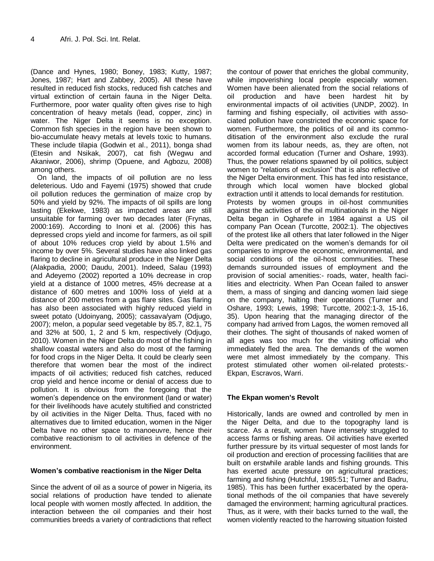(Dance and Hynes, 1980; Boney, 1983; Kutty, 1987; Jones, 1987; Hart and Zabbey, 2005). All these have resulted in reduced fish stocks, reduced fish catches and virtual extinction of certain fauna in the Niger Delta. Furthermore, poor water quality often gives rise to high concentration of heavy metals (lead, copper, zinc) in water. The Niger Delta it seems is no exception. Common fish species in the region have been shown to bio-accumulate heavy metals at levels toxic to humans. These include tilapia (Godwin et al., 2011), bonga shad (Etesin and Nsikak, 2007), cat fish (Wegwu and Akaniwor, 2006), shrimp (Opuene, and Agbozu, 2008) among others.

On land, the impacts of oil pollution are no less deleterious. Udo and Fayemi (1975) showed that crude oil pollution reduces the germination of maize crop by 50% and yield by 92%. The impacts of oil spills are long lasting (Ekekwe, 1983) as impacted areas are still unsuitable for farming over two decades later (Frynas, 2000:169). According to Inoni et al. (2006) this has depressed crops yield and income for farmers, as oil spill of about 10% reduces crop yield by about 1.5% and income by over 5%. Several studies have also linked gas flaring to decline in agricultural produce in the Niger Delta (Alakpadia, 2000; Daudu, 2001). Indeed, Salau (1993) and Adeyemo (2002) reported a 10% decrease in crop yield at a distance of 1000 metres, 45% decrease at a distance of 600 metres and 100% loss of yield at a distance of 200 metres from a gas flare sites. Gas flaring has also been associated with highly reduced yield in sweet potato (Udoinyang, 2005); cassava/yam (Odjugo, 2007); melon, a popular seed vegetable by 85.7, 82.1, 75 and 32% at 500, 1, 2 and 5 km, respectively (Odjugo, 2010). Women in the Niger Delta do most of the fishing in shallow coastal waters and also do most of the farming for food crops in the Niger Delta. It could be clearly seen therefore that women bear the most of the indirect impacts of oil activities; reduced fish catches, reduced crop yield and hence income or denial of access due to pollution. It is obvious from the foregoing that the women's dependence on the environment (land or water) for their livelihoods have acutely stultified and constricted by oil activities in the Niger Delta. Thus, faced with no alternatives due to limited education, women in the Niger Delta have no other space to manoeuvre, hence their combative reactionism to oil activities in defence of the environment.

### **Women's combative reactionism in the Niger Delta**

Since the advent of oil as a source of power in Nigeria, its social relations of production have tended to alienate local people with women mostly affected. In addition, the interaction between the oil companies and their host communities breeds a variety of contradictions that reflect

the contour of power that enriches the global community, while impoverishing local people especially women. Women have been alienated from the social relations of oil production and have been hardest hit by environmental impacts of oil activities (UNDP, 2002). In farming and fishing especially, oil activities with associated pollution have constricted the economic space for women. Furthermore, the politics of oil and its commoditisation of the environment also exclude the rural women from its labour needs, as, they are often, not accorded formal education (Turner and Oshare, 1993). Thus, the power relations spawned by oil politics, subject women to "relations of exclusion" that is also reflective of the Niger Delta environment. This has fed into resistance, through which local women have blocked global extraction until it attends to local demands for restitution. Protests by women groups in oil-host communities against the activities of the oil multinationals in the Niger Delta began in Ogharefe in 1984 against a US oil company Pan Ocean (Turcotte, 2002:1). The objectives of the protest like all others that later followed in the Niger Delta were predicated on the women's demands for oil companies to improve the economic, environmental, and social conditions of the oil-host communities. These demands surrounded issues of employment and the provision of social amenities:- roads, water, health facilities and electricity. When Pan Ocean failed to answer them, a mass of singing and dancing women laid siege on the company, halting their operations (Turner and Oshare, 1993; Lewis, 1998; Turcotte, 2002:1-3, 15-16, 35). Upon hearing that the managing director of the company had arrived from Lagos, the women removed all their clothes. The sight of thousands of naked women of all ages was too much for the visiting official who immediately fled the area. The demands of the women were met almost immediately by the company. This protest stimulated other women oil-related protests:- Ekpan, Escravos, Warri.

### **The Ekpan women's Revolt**

Historically, lands are owned and controlled by men in the Niger Delta, and due to the topography land is scarce. As a result, women have intensely struggled to access farms or fishing areas. Oil activities have exerted further pressure by its virtual sequester of most lands for oil production and erection of processing facilities that are built on erstwhile arable lands and fishing grounds. This has exerted acute pressure on agricultural practices; farming and fishing (Hutchful, 1985:51; Turner and Badru, 1985). This has been further exacerbated by the operational methods of the oil companies that have severely damaged the environment; harming agricultural practices. Thus, as it were, with their backs turned to the wall, the women violently reacted to the harrowing situation foisted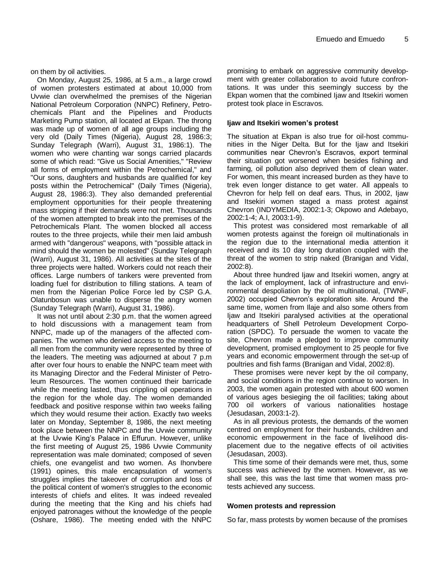on them by oil activities.

On Monday, August 25, 1986, at 5 a.m., a large crowd of women protesters estimated at about 10,000 from Uvwie clan overwhelmed the premises of the Nigerian National Petroleum Corporation (NNPC) Refinery, Petrochemicals Plant and the Pipelines and Products Marketing Pump station, all located at Ekpan. The throng was made up of women of all age groups including the very old (Daily Times (Nigeria), August 28, 1986:3; Sunday Telegraph (Warri), August 31, 1986:1). The women who were chanting war songs carried placards some of which read: "Give us Social Amenities," "Review all forms of employment within the Petrochemical," and "Our sons, daughters and husbands are qualified for key posts within the Petrochemical" (Daily Times (Nigeria), August 28, 1986:3). They also demanded preferential employment opportunities for their people threatening mass stripping if their demands were not met. Thousands of the women attempted to break into the premises of the Petrochemicals Plant. The women blocked all access routes to the three projects, while their men laid ambush armed with "dangerous" weapons, with "possible attack in mind should the women be molested" (Sunday Telegraph (Warri), August 31, 1986). All activities at the sites of the three projects were halted. Workers could not reach their offices. Large numbers of tankers were prevented from loading fuel for distribution to filling stations. A team of men from the Nigerian Police Force led by CSP G.A. Olatunbosun was unable to disperse the angry women (Sunday Telegraph (Warri), August 31, 1986).

It was not until about 2:30 p.m. that the women agreed to hold discussions with a management team from NNPC, made up of the managers of the affected companies. The women who denied access to the meeting to all men from the community were represented by three of the leaders. The meeting was adjourned at about 7 p.m after over four hours to enable the NNPC team meet with its Managing Director and the Federal Minister of Petroleum Resources. The women continued their barricade while the meeting lasted, thus crippling oil operations in the region for the whole day. The women demanded feedback and positive response within two weeks failing which they would resume their action. Exactly two weeks later on Monday, September 8, 1986, the next meeting took place between the NNPC and the Uvwie community at the Uvwie King's Palace in Effurun. However, unlike the first meeting of August 25, 1986 Uvwie Community representation was male dominated; composed of seven chiefs, one evangelist and two women. As Ihonvbere (1991) opines, this male encapsulation of women's struggles implies the takeover of corruption and loss of the political content of women's struggles to the economic interests of chiefs and elites. It was indeed revealed during the meeting that the King and his chiefs had enjoyed patronages without the knowledge of the people (Oshare, 1986). The meeting ended with the NNPC

promising to embark on aggressive community development with greater collaboration to avoid future confrontations. It was under this seemingly success by the Ekpan women that the combined Ijaw and Itsekiri women protest took place in Escravos.

#### **Ijaw and Itsekiri women's protest**

The situation at Ekpan is also true for oil-host communities in the Niger Delta. But for the Ijaw and Itsekiri communities near Chevron's Escravos, export terminal their situation got worsened when besides fishing and farming, oil pollution also deprived them of clean water. For women, this meant increased burden as they have to trek even longer distance to get water. All appeals to Chevron for help fell on deaf ears. Thus, in 2002, Ijaw and Itsekiri women staged a mass protest against Chevron (INDYMEDIA, 2002:1-3; Okpowo and Adebayo, 2002:1-4; A.I, 2003:1-9).

This protest was considered most remarkable of all women protests against the foreign oil multinationals in the region due to the international media attention it received and its 10 day long duration coupled with the threat of the women to strip naked (Branigan and Vidal, 2002:8).

About three hundred Ijaw and Itsekiri women, angry at the lack of employment, lack of infrastructure and environmental despoliation by the oil multinational, (TWNF, 2002) occupied Chevron's exploration site. Around the same time, women from Ilaje and also some others from Ijaw and Itsekiri paralysed activities at the operational headquarters of Shell Petroleum Development Corporation (SPDC). To persuade the women to vacate the site, Chevron made a pledged to improve community development, promised employment to 25 people for five years and economic empowerment through the set-up of poultries and fish farms (Branigan and Vidal, 2002:8).

These promises were never kept by the oil company, and social conditions in the region continue to worsen. In 2003, the women again protested with about 600 women of various ages besieging the oil facilities; taking about 700 oil workers of various nationalities hostage (Jesudasan, 2003:1-2).

As in all previous protests, the demands of the women centred on employment for their husbands, children and economic empowerment in the face of livelihood displacement due to the negative effects of oil activities (Jesudasan, 2003).

This time some of their demands were met, thus, some success was achieved by the women. However, as we shall see, this was the last time that women mass protests achieved any success.

### **Women protests and repression**

So far, mass protests by women because of the promises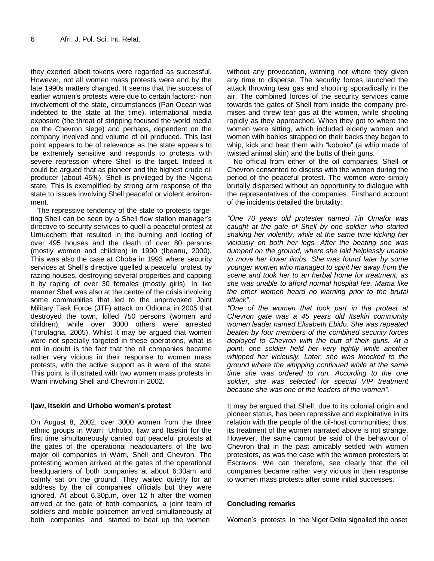they exerted albeit tokens were regarded as successful. However, not all women mass protests were and by the late 1990s matters changed. It seems that the success of earlier women's protests were due to certain factors:- non involvement of the state, circumstances (Pan Ocean was indebted to the state at the time), international media exposure (the threat of stripping focused the world media on the Chevron siege) and perhaps, dependent on the company involved and volume of oil produced. This last point appears to be of relevance as the state appears to be extremely sensitive and responds to protests with severe repression where Shell is the target. Indeed it could be argued that as pioneer and the highest crude oil producer (about 45%), Shell is privileged by the Nigeria state. This is exemplified by strong arm response of the state to issues involving Shell peaceful or violent environment.

The repressive tendency of the state to protests targeting Shell can be seen by a Shell flow station manager's directive to security services to quell a peaceful protest at Umuechem that resulted in the burning and looting of over 495 houses and the death of over 80 persons (mostly women and children) in 1990 (Ibeanu, 2000). This was also the case at Choba in 1993 where security services at Shell's directive quelled a peaceful protest by razing houses, destroying several properties and capping it by raping of over 30 females (mostly girls). In like manner Shell was also at the centre of the crisis involving some communities that led to the unprovoked Joint Military Task Force (JTF) attack on Odioma in 2005 that destroyed the town, killed 750 persons (women and children), while over 3000 others were arrested (Torulagha, 2005). Whilst it may be argued that women were not specially targeted in these operations, what is not in doubt is the fact that the oil companies became rather very vicious in their response to women mass protests, with the active support as it were of the state. This point is illustrated with two women mass protests in Warri involving Shell and Chevron in 2002.

#### **Ijaw, Itsekiri and Urhobo women's protest**

On August 8, 2002, over 3000 women from the three ethnic groups in Warri; Urhobo, Ijaw and Itsekiri for the first time simultaneously carried out peaceful protests at the gates of the operational headquarters of the two major oil companies in Warri, Shell and Chevron. The protesting women arrived at the gates of the operational headquarters of both companies at about 6:30am and calmly sat on the ground. They waited quietly for an address by the oil companies' officials but they were ignored. At about 6.30p.m, over 12 h after the women arrived at the gate of both companies, a joint team of soldiers and mobile policemen arrived simultaneously at both companies and started to beat up the women

without any provocation, warning nor where they given any time to disperse. The security forces launched the attack throwing tear gas and shooting sporadically in the air. The combined forces of the security services came towards the gates of Shell from inside the company premises and threw tear gas at the women, while shooting rapidly as they approached. When they got to where the women were sitting, which included elderly women and women with babies strapped on their backs they began to whip, kick and beat them with "koboko" (a whip made of twisted animal skin) and the butts of their guns.

No official from either of the oil companies, Shell or Chevron consented to discuss with the women during the period of the peaceful protest. The women were simply brutally dispersed without an opportunity to dialogue with the representatives of the companies. Firsthand account of the incidents detailed the brutality:

*"One 70 years old protester named Titi Omafor was caught at the gate of Shell by one soldier who started shaking her violently, while at the same time kicking her viciously on both her legs. After the beating she was dumped on the ground, where she laid helplessly unable to move her lower limbs. She was found later by some younger women who managed to spirit her away from the scene and took her to an herbal home for treatment, as she was unable to afford normal hospital fee. Mama like the other women heard no warning prior to the brutal attack".* 

*"One of the women that took part in the protest at Chevron gate was a 45 years old Itsekiri community women leader named Elisabeth Ebido. She was repeated beaten by four members of the combined security forces deployed to Chevron with the butt of their guns. At a point, one soldier held her very tightly while another whipped her viciously. Later, she was knocked to the ground where the whipping continued while at the same time she was ordered to run. According to the one soldier, she was selected for special VIP treatment because she was one of the leaders of the women".* 

It may be argued that Shell, due to its colonial origin and pioneer status, has been repressive and exploitative in its relation with the people of the oil-host communities; thus, its treatment of the women narrated above is not strange. However, the same cannot be said of the behaviour of Chevron that in the past amicably settled with women protesters, as was the case with the women protesters at Escravos. We can therefore, see clearly that the oil companies became rather very vicious in their response to women mass protests after some initial successes.

## **Concluding remarks**

Women's protests in the Niger Delta signalled the onset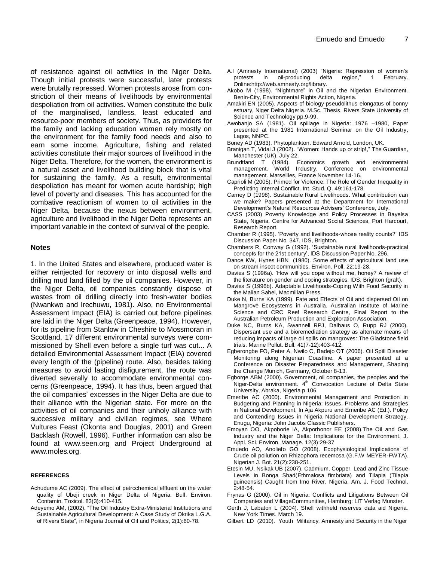of resistance against oil activities in the Niger Delta. Though initial protests were successful, later protests were brutally repressed. Women protests arose from constriction of their means of livelihoods by environmental despoliation from oil activities. Women constitute the bulk of the marginalised, landless, least educated and resource-poor members of society. Thus, as providers for the family and lacking education women rely mostly on the environment for the family food needs and also to earn some income. Agriculture, fishing and related activities constitute their major sources of livelihood in the Niger Delta. Therefore, for the women, the environment is a natural asset and livelihood building block that is vital for sustaining the family. As a result, environmental despoliation has meant for women acute hardship; high level of poverty and diseases. This has accounted for the combative reactionism of women to oil activities in the Niger Delta, because the nexus between environment, agriculture and livelihood in the Niger Delta represents an important variable in the context of survival of the people.

#### **Notes**

1. In the United States and elsewhere, produced water is either reinjected for recovery or into disposal wells and drilling mud land filled by the oil companies. However, in the Niger Delta, oil companies constantly dispose of wastes from oil drilling directly into fresh-water bodies (Nwankwo and Irechuwu, 1981). Also, no Environmental Assessment Impact (EIA) is carried out before pipelines are laid in the Niger Delta (Greenpeace, 1994). However, for its pipeline from Stanlow in Cheshire to Mossmoran in Scottland, 17 different environmental surveys were commissioned by Shell even before a single turf was cut... A detailed Environmental Assessment Impact (EIA) covered every length of the (pipeline) route. Also, besides taking measures to avoid lasting disfigurement, the route was diverted severally to accommodate environmental concerns (Greenpeace, 1994). It has thus, been argued that the oil companies' excesses in the Niger Delta are due to their alliance with the Nigerian state. For more on the activities of oil companies and their unholy alliance with successive military and civilian regimes, see Where Vultures Feast (Okonta and Douglas, 2001) and Green Backlash (Rowell, 1996). Further information can also be found at www.seen.org and Project Underground at [www.moles.org.](http://www.moles.org/)

#### **REFERENCES**

- Achudume AC (2009). The effect of petrochemical effluent on the water quality of Ubeji creek in Niger Delta of Nigeria. Bull. Environ. Contamin. Toxicol. 83(3):410-415.
- Adeyemo AM, (2002). "The Oil Industry Extra-Ministerial Institutions and Sustainable Agricultural Development: A Case Study of Okrika L.G.A. of Rivers State", in Nigeria Journal of Oil and Politics, 2(1):60-78.
- A.I (Amnesty International) (2003) "Nigeria: Repression of women's protests in oil-producing delta region," 1 February. Online:http://web.amnesty.org/library.
- Akobo M (1998). "Nightmare" in Oil and the Nigerian Environment. Benin-City, Environmental Rights Action, Nigeria.
- Amakiri EN (2005). Aspects of biology pseudolithus elongatus of bonny estuary, Niger Delta Nigeria. M.Sc. Thesis, Rivers State University of Science and Technology pp.9-99.
- Awobanjo SA (1981). Oil spillage in Nigeria: 1976 –1980, Paper presented at the 1981 International Seminar on the Oil Industry, Lagos, NNPC.
- Boney AD (1983). Phytoplankton. Edward Arnold, London, UK.
- Branigan T, Vidal J (2002). "Women: Hands up or strip!," The Guardian, Manchester (UK), July 22.
- Brundtland T (1984). Economics growth and environmental management. World Industry. Conference on environmental management. Marseilles, France November 14-16.
- Caprioli M (2005). Primed for Violence: The Role of Gender Inequality in Predicting Internal Conflict. Int. Stud. Q. 49:161-178.
- Carney D (1998). Sustainable Rural Livelihoods. What contribution can we make? Papers presented at the Department for International Development's Natural Resources Advisers' Conference, July.
- CASS (2003) Poverty Knowledge and Policy Processes in Bayelsa State, Nigeria. Centre for Advanced Social Sciences, Port Harcourt, Research Report.
- Chamber R (1995). 'Poverty and livelihoods-whose reality counts?' IDS Discussion Paper No. 347, IDS, Brighton.
- Chambers R, Conway G (1992). 'Sustainable rural livelihoods-practical concepts for the 21st century', IDS Discussion Paper No. 296.
- Dance KW, Hynes HBN (1980). Some effects of agricultural land use on stream insect communities. Environ. Poll. 22:19-28.
- Davies S (1996a). 'How will you cope without me, honey? A review of the literature on gender and coping strategies, IDS, Brighton (graft).
- Davies S (1996b). Adaptable Livelihoods-Coping With Food Security in the Malian Sahel, Macmillan Press.
- Duke N, Burns KA (1999). Fate and Effects of Oil and dispersed Oil on Mangrove Ecosystems in Australia. Australian Institute of Marine Science and CRC Reef Research Centre, Final Report to the Australian Petroleum Production and Exploration Association.
- Duke NC, Burns KA, Swannell RPJ, Dalhaus O, Rupp RJ (2000). Dispersant use and a bioremediation strategy as alternate means of reducing impacts of large oil spills on mangroves: The Gladstone field trials. Marine Pollut. Bull. 41(7-12):403-412.
- Egberongbe FO, Peter A, Nwilo C, Badejo OT (2006). Oil Spill Disaster Monitoring along Nigerian Coastline. A paper presented at a Conference on Disaster Preparedness and Management, Shaping the Change Munich, Germany, October 8-13.
- Egborge ABM (2000). Government, oil companies, the peoples and the Niger-Delta environment. 4<sup>th</sup> Convocation Lecture of Delta State University, Abraka, Nigeria p.106.
- Emeribe AC (2000). Environmental Management and Protection in Budgeting and Planning in Nigeria: Issues, Problems and Strategies in National Development, In Aja Akpuru and Emeribe AC (Ed.). Policy and Contending Issues in Nigeria National Development Strategy. Enugu, Nigeria: John Jacobs Classic Publishers.
- Emoyan OO, Akpoborie IA, Akporhonor EE (2008).The Oil and Gas Industry and the Niger Delta: Implications for the Environment. J. Appl. Sci. Environ. Manage. 12(3):29-37
- Emuedo AO, Anoliefo GO (2008). Ecophysiological Implications of Crude oil pollution on Rhizophora recemosa (G.F.W MEYER-FWTA). Nigerian J. Bot. 21(2):238-251.
- Etesin MU, Nsikak UB (2007). Cadmium, Copper, Lead and Zinc Tissue Levels in Bonga Shad(Ethmalosa fimbriata) and Tilapia (Tilapia guineensis) Caught from Imo River, Nigeria. Am. J. Food Technol. 2:48-54.
- Frynas G (2000). Oil in Nigeria: Conflicts and Litigations Between Oil Companies and VillageCommunities, Hamburg: LIT Verlag Munster.
- Gerth J, Labaton L (2004). Shell withheld reserves data aid Nigeria. New York Times. March 19.
- Gilbert LD (2010). Youth Militancy, Amnesty and Security in the Niger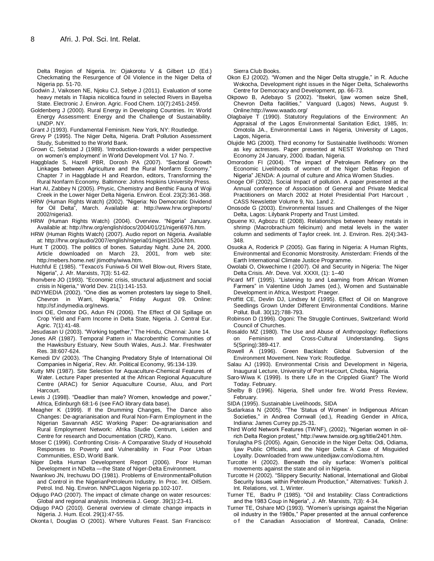Delta Region of Nigeria. In: Ojakorotu V & Gilbert LD (Ed.) Checkmating the Resurgence of Oil Violence in the Niger Delta of Nigeria pp. 51-70.

- Godwin J, Vaikosen NE, Njoku CJ, Sebye J (2011). Evaluation of some heavy metals in Tilapia nicolitica found in selected Rivers in Bayelsa State. Electronic J. Environ. Agric. Food Chem. 10(7):2451-2459.
- Goldenberg J (2000). Rural Energy in Developing Countries. In: World Energy Assessment: Energy and the Challenge of Sustainability. UNDP. NY.
- Grant J (1993). Fundamental Feminism. New York, NY: Routledge.
- Grevy P (1995). The Niger Delta, Nigeria. Draft Pollution Assessment Study, Submitted to the World Bank.
- Grown C, Sebstad J (1989). 'Introduction-towards a wider perspective on women's employment' in World Development Vol. 17 No. 7.
- Haggblade S, Hazell PBR, Dorosh PA (2007). "Sectoral Growth Linkages between Agriculture and the Rural Nonfarm Economy." Chapter 7 in Haggblade H and Reardon, editors, Transforming the Rural Nonfarm Economy. Baltimore: Johns Hopkins University Press.
- Hart AI, Zabbey N (2005). Physic, Chemistry and Benthic Fauna of Woji Creek in the Lower Niger Delta Nigeria. Environ. Ecol. 23(2):361-368.
- HRW (Human Rights Watch) (2002). "Nigeria: No Democratic Dividend for Oil Delta", March. Available at: http://www.hrw.org/reports/ 2002/nigeria3.
- HRW (Human Rights Watch) (2004). Overview. "Nigeria" January. Available at: http://hrw.org/english/docs/2004/01/21/nigeri6976.htm.
- HRW (Human Rights Watch) (2007). Audio report on Nigeria. Available at: http://hrw.org/audio/2007/english/nigeria01/nigeri15204.htm.
- Hunt T (2000). The politics of bones. Saturday Night. June 24, 2000. Article downloaded on March 23, 2001, from web site: http:/mebers.home.net/ jtimothy/wiwa.htm.
- Hutchful E (1985). "Texaco's Funiwa-5 Oil Well Blow-out, Rivers State, Nigeria‖, J. Afr. Marxists, 7(3): 51-62.
- Ihonvbere JO (1993). "Economic crisis, structural adjustment and social crisis in Nigeria," World Dev. 21(1):141-153.
- INDYMEDIA (2002). "One dies as women protesters lay siege to Shell, Chevron in Warri, Nigeria," Friday August 09. Online: http://sf.indymedia.org/news.
- Inoni OE, Omotor DG, Adun FN (2006). The Effect of Oil Spillage on Crop Yield and Farm Income in Delta State, Nigeria. J. Central Eur. Agric. 7(1):41-48.
- Jesudasan U (2003). "Working together," The Hindu, Chennai: June 14.
- Jones AR (1987). Temporal Pattern in Macrobenthic Communities of the Hawksbury Estuary, New South Wales, Aus.J. Mar. Freshwater Res. 38:607-624.
- Kemedi DV (2003). 'The Changing Predatory Style of International Oil Companies in Nigeria', Rev. Afr. Political Economy, 95:134-139.
- Kutty MN (1987). Site Selection for Aquaculture-Chemical Features of Water. Lecture Paper presented at the African Regional Aquaculture Centre (ARAC) for Senior Aquaculture Course, Aluu, and Port Harcourt.
- Lewis J (1998). "Deadlier than male? Women, knowledge and power," Africa, Edinburgh 68:1-6 (see FAO library data base).
- Meagher K (1999). If the Drumming Changes, The Dance also Changes: De-agrarianisation and Rural Non-Farm Employment in the Nigerian Savannah ASC Working Paper: De-agrarianisation and Rural Employment Network: Afrika Studie Centrum, Leiden and Centre for research and Documentation (CRD), Kano.
- Moser C (1996). Confronting Crisis- A Comparative Study of Household Responses to Poverty and Vulnerability in Four Poor Urban Communities, ESD, World Bank.
- Niger Delta Human Development Report (2006). Poor Human Development in NDelta —the State of Niger-Delta Environment.
- Nwankwo JN, Irechuwu DO (1981). Problems of EnvironmentalPollution and Control in the NigerianPetroleum Industry. In Proc. Int. OilSem. Petrol. Ind. Nig. Environ. NNPCLagos Nigeria pp.102-107.
- Odjugo PAO (2007). The impact of climate change on water resources: Global and regional analysis. Indonesia J. Geogr. 39(1):23-41.
- Odjugo PAO (2010). General overview of climate change impacts in Nigeria. J. Hum. Ecol. 29(1):47-55.
- Okonta I, Douglas O (2001). Where Vultures Feast. San Francisco:

Sierra Club Books.

- Okon EJ (2002). "Women and the Niger Delta struggle," in R. Aduche Wokocha, Development right issues in the Niger Delta, Schaleworths Centre for Democracy and Development, pp. 66-73.
- Okpowo B, Adebayo S (2002). "Itsekiri, Ijaw women seize Shell, Chevron Delta facilities,‖ Vanguard (Lagos) News, August 9. Online:http://www.waado.org/
- Olagbaiye T (1990). Statutory Regulations of the Environment: An Appraisal of the Lagos Environmental Sanitation Edict, 1985, In: Omotola JA., Environmental Laws in Nigeria, University of Lagos, Lagos, Nigeria.
- Olujide MG (2000). Third economy for Sustainable livelihoods: Women as key actresses. Paper presented at NEST Workshop on Third Economy 24 January, 2000. Ibadan, Nigeria.
- Omorodon FI (2004). "The impact of Petroleum Refinery on the Economic Livelihoods of women of the Niger Deltas Region of Nigeria" JENDA: A journal of culture and Africa Women Studies.
- Onoge OF (2002). Social Impact of pollution. A paper presented at the Annual conference of Association of General and Private Medical Practitioners on March 2002 at Hotel Presidential Port Harcourt , CASS Newsletter Volume 9, No. 1and 2.
- Onosode G (2003). Environmental Issues and Challenges of the Niger Delta, Lagos: Lilybank Property and Trust Limited.
- Opuene KI, Agbozu IE (2008). Relationships between heavy metals in shrimp (Macrobrachium felicinum) and metal levels in the water column and sediments of Taylor creek. Int. J. Environ. Res. 2(4):343- 348.
- Osuoka A, Roderick P (2005). Gas flaring in Nigeria: A Human Rights, Environmental and Economic Monstrosity. Amsterdam: Friends of the Earth International Climate Justice Programme.
- Owolabi O, Okwechime I (2007). Oil and Security in Nigeria: The Niger Delta Crisis. Afr. Deve. Vol. XXXII, (1): 1–40
- Picard MT (1995). "Listening to and Learning from African Women Farmers" in Valentine Udoh James (ed.), Women and Sustainable Development in Africa, Westport: Praeger.
- Proffitt CE, Devlin DJ, Lindsey M (1995). Effect of Oil on Mangrove Seedlings Grown Under Different Environmental Conditions. Marine Pollut. Bull. 30(12):788-793.
- Robinson D (1996). Ogoni: The Struggle Continues, Switzerland: World Council of Churches.
- Rosaldo MZ (1980). The Use and Abuse of Anthropology: Reflections on Feminism and Cross-Cultural Understanding. Signs 5(Spring):389-417.
- Rowell A (1996). Green Backlash: Global Subversion of the Environment Movement. New York: Routledge.
- Salau AJ (1993). Environmental Crisis and Development in Nigeria, Inaugural Lecture, University of Port Harcourt, Choba, Nigeria.
- Saro-Wiwa K (1999). Is there Life in the Crippled Giant? The World Today. February.
- Shelby B (1996). Nigeria, Shell under fire. World Press Review, February.
- SIDA (1995). Sustainable Livelihoods, SIDA
- Sudarkasa N (2005). "The 'Status of Women' in Indigenous African Societies," in Andrea Cornwall (ed.), Reading Gender in Africa, Indiana: James Currey pp.25-31.
- Third World Network Features (TWNF), (2002), "Nigerian women in oilrich Delta Region protest," http://www.twnside.org.sg/title/2401.htm.
- Torulagha PS (2005). [Again, Genocide in the Niger Delta:](http://www.unitedijawstates.com/#odioma) Odi, Odiama, Ijaw Public Officials, and the Niger Delta: A Case of Misguided Loyalty. Downloaded from www.unitedijaw.com/odioma.htm.
- Turcotte H (2002). Beneath the oily surface: Women's political movements against the state and oil in Nigeria.
- Turcotte H (2002). "Slippery Security: National, International and Global Security Issues within Petroleum Production," Alternatives: Turkish J. Int. Relations, vol. 1, Winter.
- Turner TE, Badru P (1985). "Oil and Instability: Class Contradictions and the 1983 Coup in Nigeria", J. Afr. Marxists, 7(3): 4-34.
- Turner TE, Oshare MO (1993). "Women's uprisings against the Nigerian oil industry in the 1980s," Paper presented at the annual conference of the Canadian Association of Montreal, Canada, Online: